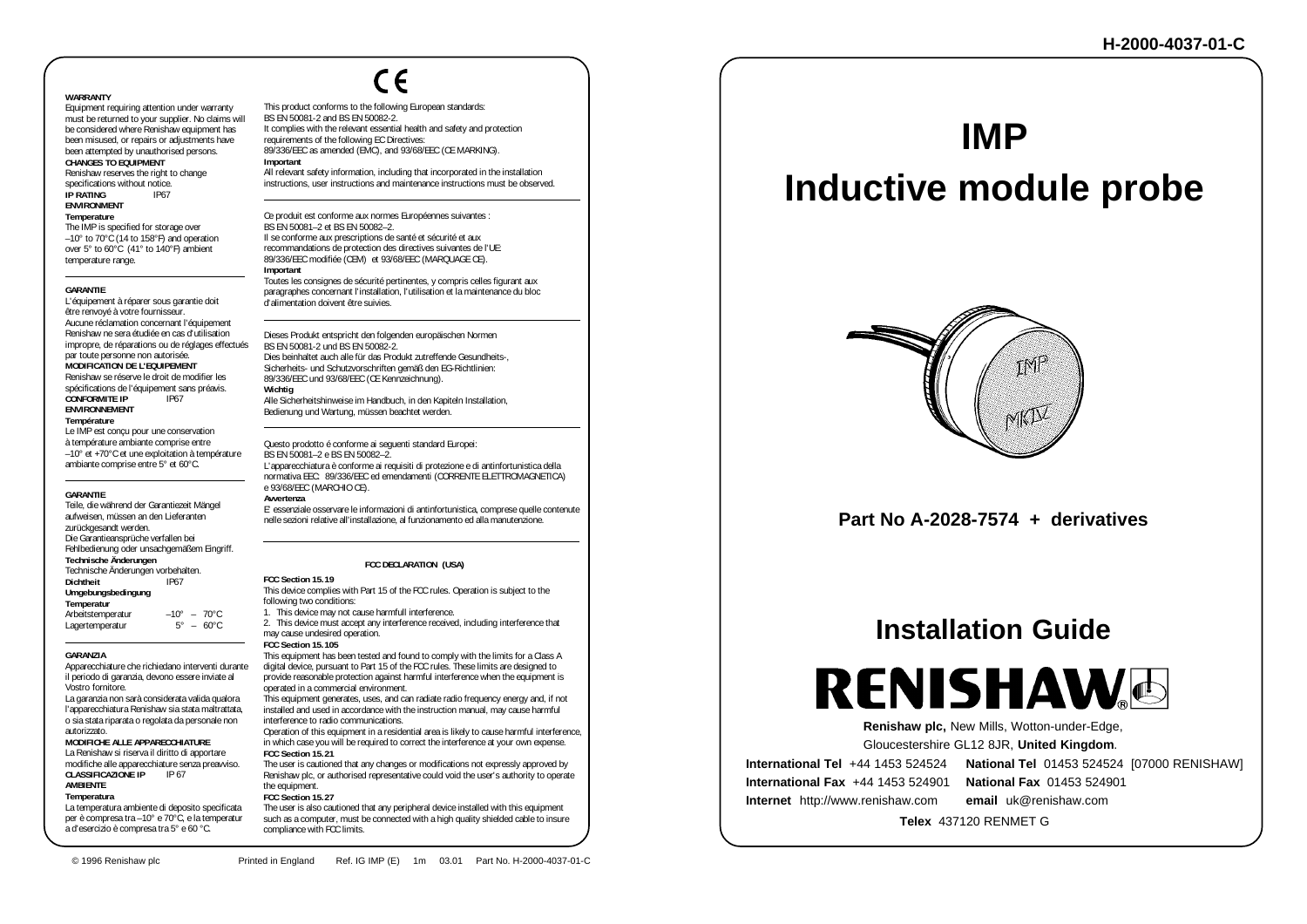#### **WARRANTY**

 Equipment requiring attention under warranty must be returned to your supplier. No claims will be considered where Renishaw equipment has been misused, or repairs or adjustments have been attempted by unauthorised persons. **CHANGES TO EQUIPMENT**Renishaw reserves the right to change

specifications without notice. **IP RATING**G IP67

#### **ENVIRONMENT**

**Temperature**

The IMP is specified for storage over –10° to 70°C (14 to 158°F) and operation over 5° to 60°C (41° to 140°F) ambient temperature range.

#### **GARANTIE**

 L'équipement à réparer sous garantie doit être renvoyé à votre fournisseur. Aucune réclamation concernant l'équipement Renishaw ne sera étudiée en cas d'utilisation impropre, de réparations ou de réglages effectués par toute personne non autorisée. **MODIFICATION DE L'EQUIPEMENT** Renishaw se réserve le droit de modifier les spécifications de l'équipement sans préavis. **CONFORMITE IP** IP67 **ENVIRONNEMENT**

#### **Température** Le IMP est concu pour une conservation

à température ambiante comprise entre –10° et +70°C et une exploitation à température ambiante comprise entre 5° et 60°C.

#### **GARANTIE**

 Teile, die während der Garantiezeit Mängel aufweisen, müssen an den Lieferanten zurückgesandt werden. Die Garantieansprüche verfallen bei Fehlbedienung oder unsachgemäßem Eingriff. **Technische Änderungen** Technische Änderungen vorbehalten. **Dichtheit** IP67**Umgebungsbedingung Temperatur** Arbeitstemperatur –10° – 70°C<br>Lagertemperatur – 5° – 60°C Lagertemperatur

#### **GARANZIA**

 Apparecchiature che richiedano interventi durante il periodo di garanzia, devono essere inviate al Vostro fornitore.

 La garanzia non sarà considerata valida qualora l'apparecchiatura Renishaw sia stata maltrattata, o sia stata riparata o regolata da personale non autorizzato.

#### **MODIFICHE ALLE APPARECCHIATURE**

 La Renishaw si riserva il diritto di apportare modifiche alle apparecchiature senza preavviso. **CLASSIFICAZIONE IP** IP 67 **AMBIENTE**

### **Temperatura**

La temperatura ambiente di deposito specificata per è compresa tra –10° e 70°C, e la temperatur a d'esercizio è compresa tra 5° e 60 °C.

 $\epsilon$ 

This product conforms to the following European standards: BS EN 50081-2 and BS EN 50082-2.It complies with the relevant essential health and safety and protection requirements of the following EC Directives: 89/336/EEC as amended (EMC), and 93/68/EEC (CE MARKING). **Important**

All relevant safety information, including that incorporated in the installation instructions, user instructions and maintenance instructions must be observed.

Ce produit est conforme aux normes Européennes suivantes : BS EN 50081–2 et BS EN 50082–2. Il se conforme aux prescriptions de santé et sécurité et aux recommandations de protection des directives suivantes de l'UE: 89/336/EEC modifiée (CEM) et 93/68/EEC (MARQUAGE CE). **Important**

Toutes les consignes de sécurité pertinentes, y compris celles figurant aux paragraphes concernant l'installation, l'utilisation et la maintenance du bloc d'alimentation doivent être suivies.

Dieses Produkt entspricht den folgenden europäischen Normen BS EN 50081-2 und BS EN 50082-2. Dies beinhaltet auch alle für das Produkt zutreffende Gesundheits-, Sicherheits- und Schutzvorschriften gemäß den EG-Richtlinien: 89/336/EEC und 93/68/EEC (CE Kennzeichnung).

#### **Wichtig**

Alle Sicherheitshinweise im Handbuch, in den Kapiteln Installation, Bedienung und Wartung, müssen beachtet werden.

Questo prodotto é conforme ai seguenti standard Europei: BS EN 50081–2 e BS EN 50082–2. L'apparecchiatura è conforme ai requisiti di protezione e di antinfortunistica della normativa EEC: 89/336/EEC ed emendamenti (CORRENTE ELETTROMAGNETICA) e 93/68/EEC (MARCHIO CE). **Avvertenza**

 E' essenziale osservare le informazioni di antinfortunistica, comprese quelle contenute nelle sezioni relative all'installazione, al funzionamento ed alla manutenzione.

#### **FCC DECLARATION (USA)**

#### **FCC Section 15.19**

 This device complies with Part 15 of the FCC rules. Operation is subject to the following two conditions: 1. This device may not cause harmfull interference. 2. This device must accept any interference received, including interference that

may cause undesired operation. **FCC Section 15.105**

 This equipment has been tested and found to comply with the limits for a Class A digital device, pursuant to Part 15 of the FCC rules. These limits are designed to provide reasonable protection against harmful interference when the equipment is operated in a commercial environment. This equipment generates, uses, and can radiate radio frequency energy and, if not

installed and used in accordance with the instruction manual, may cause harmful interference to radio communications.

 Operation of this equipment in a residential area is likely to cause harmful interference, in which case you will be required to correct the interference at your own expense. **FCC Section 15.21**

 The user is cautioned that any changes or modifications not expressly approved by Renishaw plc, or authorised representative could void the user's authority to operate the equipment.

**FCC Section 15.27**

such as a computer, must be connected with a high quality shielded cable to insure compliance with FCC limits.

## **IMP**

# **Inductive module probe**



**Part No A-2028-7574 + derivatives**

## **Installation Guide**

**RENISHAW**O

 **Renishaw plc,** New Mills, Wotton-under-Edge,

Gloucestershire GL12 8JR, **United Kingdom**.

**International Tel** +44 1453 524524**International Fax** +44 1453 524901

**National Fax** 01453 524901

**National Tel** 01453 524524 [07000 RENISHAW]

 **Telex** 437120 RENMET G

**Internet** http://www.renishaw.com **email** uk@renishaw.com

The user is also cautioned that any peripheral device installed with this equipment